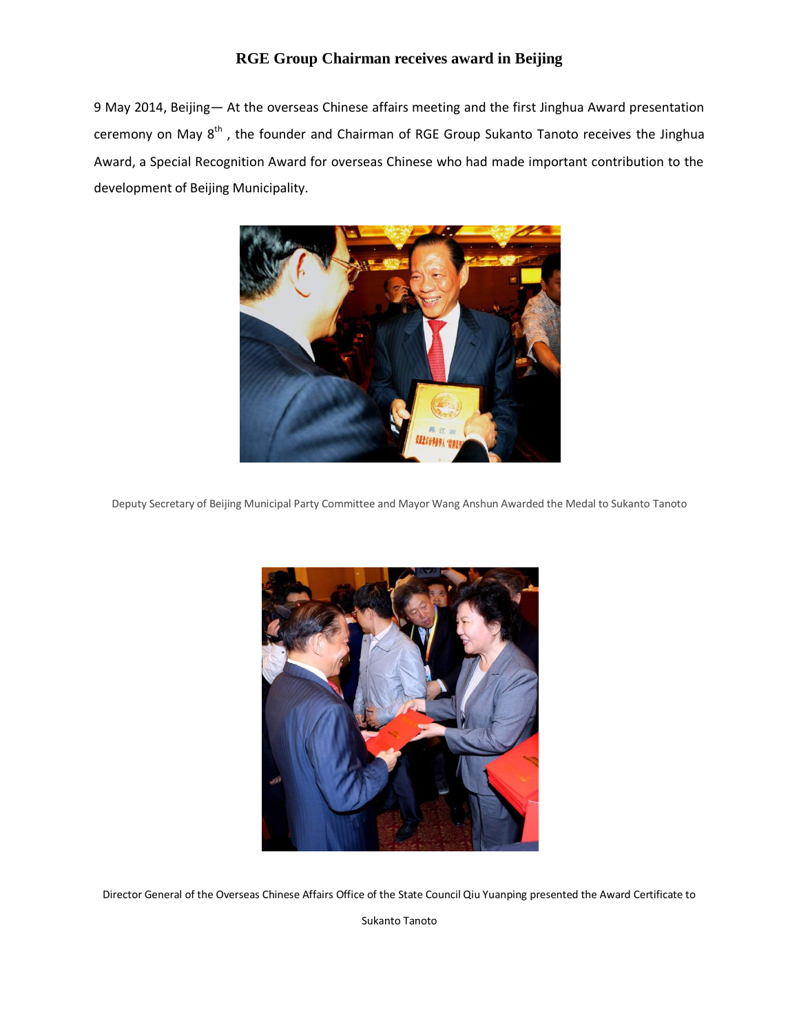## **RGE Group Chairman receives award in Beijing**

9 May 2014, Beijing— At the overseas Chinese affairs meeting and the first Jinghua Award presentation ceremony on May 8<sup>th</sup>, the founder and Chairman of RGE Group Sukanto Tanoto receives the Jinghua Award, a Special Recognition Award for overseas Chinese who had made important contribution to the development of Beijing Municipality.



Deputy Secretary of Beijing Municipal Party Committee and Mayor Wang Anshun Awarded the Medal to Sukanto Tanoto



Director General of the Overseas Chinese Affairs Office of the State Council Qiu Yuanping presented the Award Certificate to

Sukanto Tanoto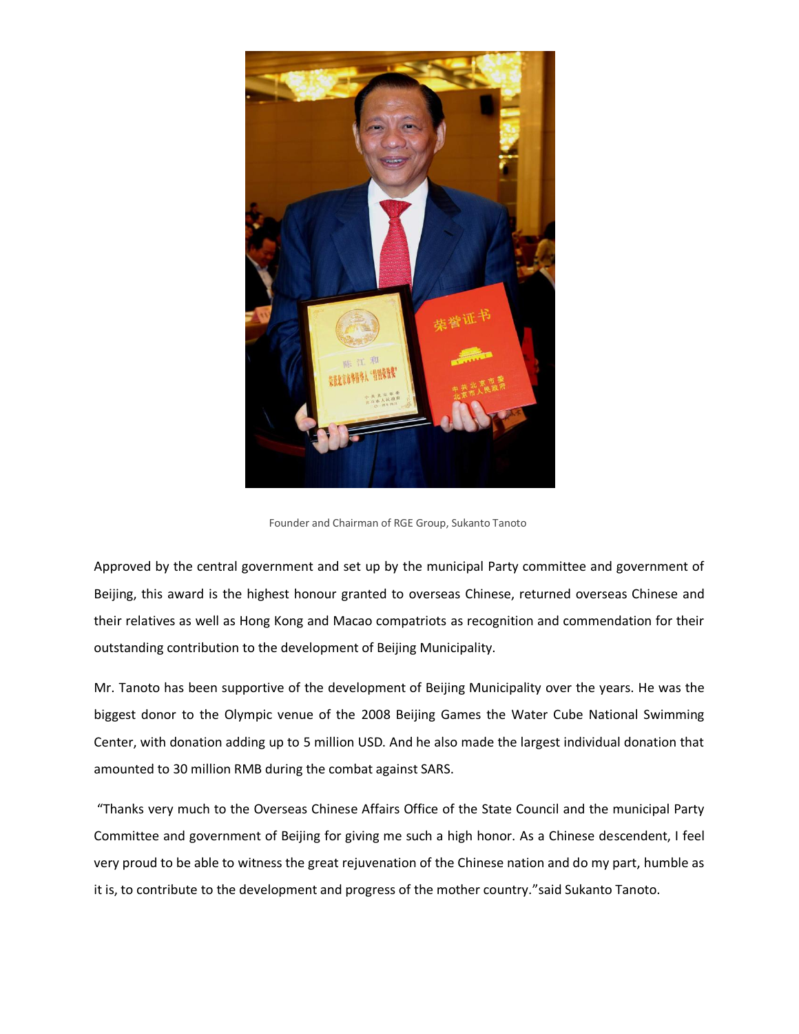

Founder and Chairman of RGE Group, Sukanto Tanoto

Approved by the central government and set up by the municipal Party committee and government of Beijing, this award is the highest honour granted to overseas Chinese, returned overseas Chinese and their relatives as well as Hong Kong and Macao compatriots as recognition and commendation for their outstanding contribution to the development of Beijing Municipality.

Mr. Tanoto has been supportive of the development of Beijing Municipality over the years. He was the biggest donor to the Olympic venue of the 2008 Beijing Games the Water Cube National Swimming Center, with donation adding up to 5 million USD. And he also made the largest individual donation that amounted to 30 million RMB during the combat against SARS.

"Thanks very much to the Overseas Chinese Affairs Office of the State Council and the municipal Party Committee and government of Beijing for giving me such a high honor. As a Chinese descendent, I feel very proud to be able to witness the great rejuvenation of the Chinese nation and do my part, humble as it is, to contribute to the development and progress of the mother country."said Sukanto Tanoto.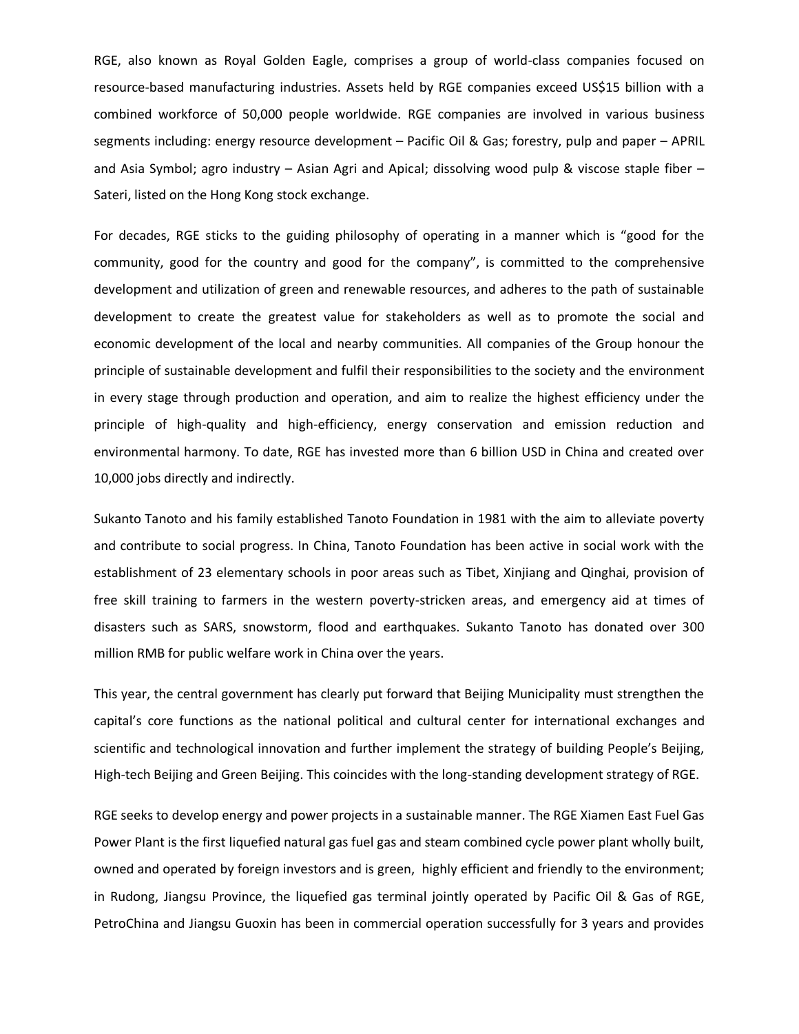RGE, also known as Royal Golden Eagle, comprises a group of world-class companies focused on resource-based manufacturing industries. Assets held by RGE companies exceed US\$15 billion with a combined workforce of 50,000 people worldwide. RGE companies are involved in various business segments including: energy resource development – Pacific Oil & Gas; forestry, pulp and paper – APRIL and Asia Symbol; agro industry – Asian Agri and Apical; dissolving wood pulp & viscose staple fiber – Sateri, listed on the Hong Kong stock exchange.

For decades, RGE sticks to the guiding philosophy of operating in a manner which is "good for the community, good for the country and good for the company", is committed to the comprehensive development and utilization of green and renewable resources, and adheres to the path of sustainable development to create the greatest value for stakeholders as well as to promote the social and economic development of the local and nearby communities. All companies of the Group honour the principle of sustainable development and fulfil their responsibilities to the society and the environment in every stage through production and operation, and aim to realize the highest efficiency under the principle of high-quality and high-efficiency, energy conservation and emission reduction and environmental harmony. To date, RGE has invested more than 6 billion USD in China and created over 10,000 jobs directly and indirectly.

Sukanto Tanoto and his family established Tanoto Foundation in 1981 with the aim to alleviate poverty and contribute to social progress. In China, Tanoto Foundation has been active in social work with the establishment of 23 elementary schools in poor areas such as Tibet, Xinjiang and Qinghai, provision of free skill training to farmers in the western poverty-stricken areas, and emergency aid at times of disasters such as SARS, snowstorm, flood and earthquakes. Sukanto Tanoto has donated over 300 million RMB for public welfare work in China over the years.

This year, the central government has clearly put forward that Beijing Municipality must strengthen the capital's core functions as the national political and cultural center for international exchanges and scientific and technological innovation and further implement the strategy of building People's Beijing, High-tech Beijing and Green Beijing. This coincides with the long-standing development strategy of RGE.

RGE seeks to develop energy and power projects in a sustainable manner. The RGE Xiamen East Fuel Gas Power Plant is the first liquefied natural gas fuel gas and steam combined cycle power plant wholly built, owned and operated by foreign investors and is green, highly efficient and friendly to the environment; in Rudong, Jiangsu Province, the liquefied gas terminal jointly operated by Pacific Oil & Gas of RGE, PetroChina and Jiangsu Guoxin has been in commercial operation successfully for 3 years and provides